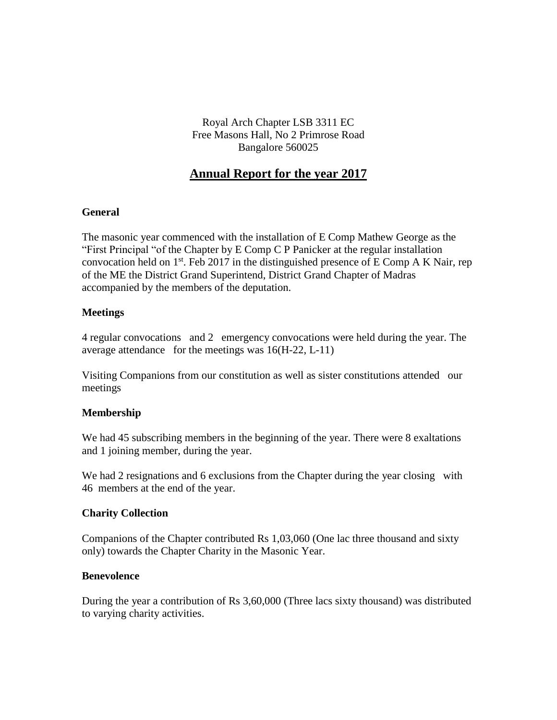Royal Arch Chapter LSB 3311 EC Free Masons Hall, No 2 Primrose Road Bangalore 560025

# **Annual Report for the year 2017**

#### **General**

The masonic year commenced with the installation of E Comp Mathew George as the "First Principal "of the Chapter by E Comp C P Panicker at the regular installation convocation held on 1<sup>st</sup>. Feb 2017 in the distinguished presence of E Comp A K Nair, rep of the ME the District Grand Superintend, District Grand Chapter of Madras accompanied by the members of the deputation.

## **Meetings**

4 regular convocations and 2 emergency convocations were held during the year. The average attendance for the meetings was 16(H-22, L-11)

Visiting Companions from our constitution as well as sister constitutions attended our meetings

# **Membership**

We had 45 subscribing members in the beginning of the year. There were 8 exaltations and 1 joining member, during the year.

We had 2 resignations and 6 exclusions from the Chapter during the year closing with 46 members at the end of the year.

#### **Charity Collection**

Companions of the Chapter contributed Rs 1,03,060 (One lac three thousand and sixty only) towards the Chapter Charity in the Masonic Year.

#### **Benevolence**

During the year a contribution of Rs 3,60,000 (Three lacs sixty thousand) was distributed to varying charity activities.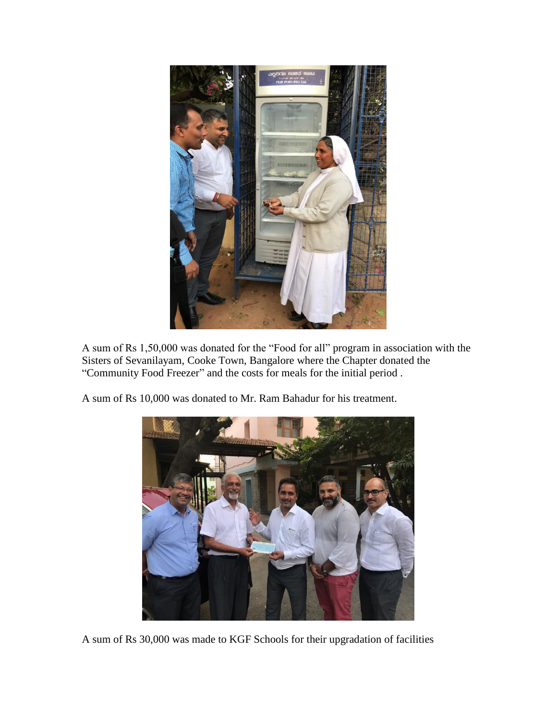

A sum of Rs 1,50,000 was donated for the "Food for all" program in association with the Sisters of Sevanilayam, Cooke Town, Bangalore where the Chapter donated the "Community Food Freezer" and the costs for meals for the initial period .

A sum of Rs 10,000 was donated to Mr. Ram Bahadur for his treatment.



A sum of Rs 30,000 was made to KGF Schools for their upgradation of facilities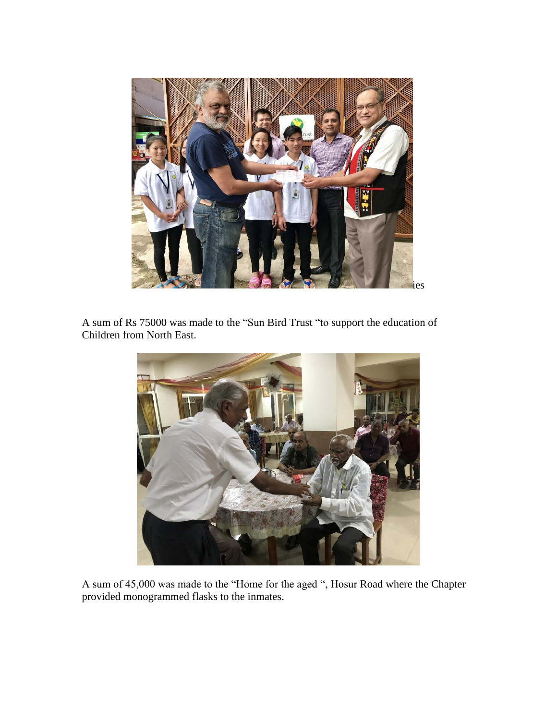

A sum of Rs 75000 was made to the "Sun Bird Trust "to support the education of Children from North East.



A sum of 45,000 was made to the "Home for the aged ", Hosur Road where the Chapter provided monogrammed flasks to the inmates.